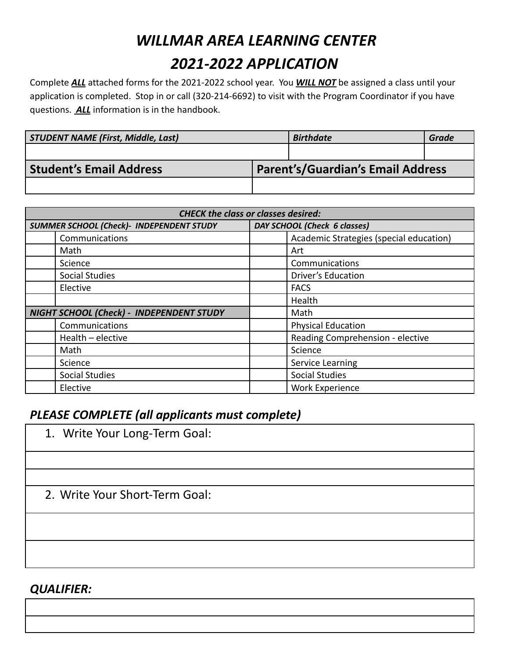# *WILLMAR AREA LEARNING CENTER 2021-2022 APPLICATION*

Complete *ALL* attached forms for the 2021-2022 school year. You *WILL NOT* be assigned a class until your application is completed. Stop in or call (320-214-6692) to visit with the Program Coordinator if you have questions. *ALL* information is in the handbook.

| <b>STUDENT NAME (First, Middle, Last)</b> |  | <b>Birthdate</b>                         | <b>Grade</b> |
|-------------------------------------------|--|------------------------------------------|--------------|
|                                           |  |                                          |              |
| <b>Student's Email Address</b>            |  | <b>Parent's/Guardian's Email Address</b> |              |
|                                           |  |                                          |              |

| <b>CHECK the class or classes desired:</b>      |                                         |  |  |  |
|-------------------------------------------------|-----------------------------------------|--|--|--|
| <b>SUMMER SCHOOL (Check)- INDEPENDENT STUDY</b> | DAY SCHOOL (Check 6 classes)            |  |  |  |
| Communications                                  | Academic Strategies (special education) |  |  |  |
| Math                                            | Art                                     |  |  |  |
| Science                                         | Communications                          |  |  |  |
| <b>Social Studies</b>                           | <b>Driver's Education</b>               |  |  |  |
| Elective                                        | <b>FACS</b>                             |  |  |  |
|                                                 | Health                                  |  |  |  |
| NIGHT SCHOOL (Check) - INDEPENDENT STUDY        | Math                                    |  |  |  |
| Communications                                  | <b>Physical Education</b>               |  |  |  |
| Health - elective                               | Reading Comprehension - elective        |  |  |  |
| Math                                            | Science                                 |  |  |  |
| Science                                         | Service Learning                        |  |  |  |
| <b>Social Studies</b>                           | <b>Social Studies</b>                   |  |  |  |
| Elective                                        | <b>Work Experience</b>                  |  |  |  |

### *PLEASE COMPLETE (all applicants must complete)*

1. Write Your Long-Term Goal:

2. Write Your Short-Term Goal:

### *QUALIFIER:*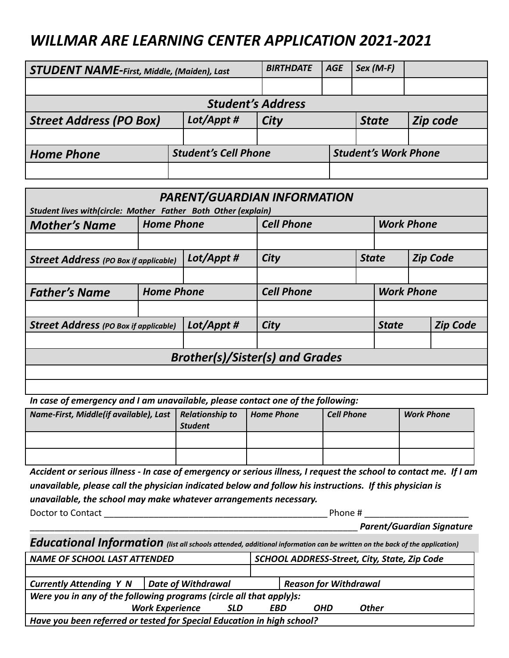## *WILLMAR ARE LEARNING CENTER APPLICATION 2021-2021*

| <b>STUDENT NAME-First, Middle, (Maiden), Last</b> |  |                             | <b>BIRTHDATE</b> | <b>AGE</b>   | $Sex (M-F)$                 |  |
|---------------------------------------------------|--|-----------------------------|------------------|--------------|-----------------------------|--|
|                                                   |  |                             |                  |              |                             |  |
| <b>Student's Address</b>                          |  |                             |                  |              |                             |  |
| Lot/Appt #<br><b>Street Address (PO Box)</b>      |  | <b>City</b>                 |                  | <b>State</b> | Zip code                    |  |
|                                                   |  |                             |                  |              |                             |  |
| <b>Home Phone</b>                                 |  | <b>Student's Cell Phone</b> |                  |              | <b>Student's Work Phone</b> |  |
|                                                   |  |                             |                  |              |                             |  |

| PARENT/GUARDIAN INFORMATION<br>Student lives with(circle: Mother Father Both Other (explain) |                   |            |                   |  |                   |                 |                 |
|----------------------------------------------------------------------------------------------|-------------------|------------|-------------------|--|-------------------|-----------------|-----------------|
| <b>Cell Phone</b><br><b>Work Phone</b><br><b>Home Phone</b><br><b>Mother's Name</b>          |                   |            |                   |  |                   |                 |                 |
|                                                                                              |                   |            |                   |  |                   |                 |                 |
| <b>Street Address</b> (PO Box if applicable)                                                 |                   | Lot/Appt # | City              |  | <b>State</b>      | <b>Zip Code</b> |                 |
|                                                                                              |                   |            |                   |  |                   |                 |                 |
| <b>Father's Name</b>                                                                         | <b>Home Phone</b> |            | <b>Cell Phone</b> |  | <b>Work Phone</b> |                 |                 |
|                                                                                              |                   |            |                   |  |                   |                 |                 |
| <b>Street Address (PO Box if applicable)</b>                                                 |                   | Lot/Appt # | City              |  | <b>State</b>      |                 | <b>Zip Code</b> |
|                                                                                              |                   |            |                   |  |                   |                 |                 |
| <b>Brother(s)/Sister(s) and Grades</b>                                                       |                   |            |                   |  |                   |                 |                 |
|                                                                                              |                   |            |                   |  |                   |                 |                 |
|                                                                                              |                   |            |                   |  |                   |                 |                 |

*In case of emergency and I am unavailable, please contact one of the following:*

| Name-First, Middle(if available), Last   Relationship to | <b>Student</b> | <b>Home Phone</b> | <b>Cell Phone</b> | <b>Work Phone</b> |
|----------------------------------------------------------|----------------|-------------------|-------------------|-------------------|
|                                                          |                |                   |                   |                   |
|                                                          |                |                   |                   |                   |

*Accident or serious illness - In case of emergency or serious illness, I request the school to contact me. If I am unavailable, please call the physician indicated below and follow his instructions. If this physician is unavailable, the school may make whatever arrangements necessary.*

Doctor to Contact **Exercise 2** and the contact **and the contact** experience and  $\theta$  Phone #  $\theta$ 

\_\_\_\_\_\_\_\_\_\_\_\_\_\_\_\_\_\_\_\_\_\_\_\_\_\_\_\_\_\_\_\_\_\_\_\_\_\_\_\_\_\_\_\_\_\_\_\_\_\_\_\_\_\_\_\_\_\_\_\_\_\_\_\_\_\_ *Parent/Guardian Signature*

|  | Educational Information (list all schools attended, additional information can be written on the back of the application) |
|--|---------------------------------------------------------------------------------------------------------------------------|
|--|---------------------------------------------------------------------------------------------------------------------------|

| <b>NAME OF SCHOOL LAST ATTENDED</b>                                    |                    |  | SCHOOL ADDRESS-Street, City, State, Zip Code |  |     |              |  |
|------------------------------------------------------------------------|--------------------|--|----------------------------------------------|--|-----|--------------|--|
|                                                                        |                    |  |                                              |  |     |              |  |
| <b>Currently Attending Y N</b>                                         | Date of Withdrawal |  | <b>Reason for Withdrawal</b>                 |  |     |              |  |
| Were you in any of the following programs (circle all that apply)s:    |                    |  |                                              |  |     |              |  |
| <b>Work Experience</b><br><b>SLD</b>                                   |                    |  | <b>FBD</b>                                   |  | OHD | <b>Other</b> |  |
| Have you been referred or tested for Special Education in high school? |                    |  |                                              |  |     |              |  |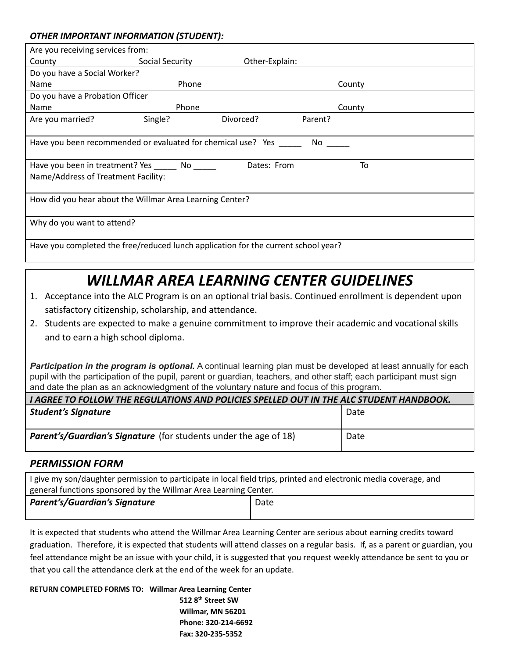#### *OTHER IMPORTANT INFORMATION (STUDENT):*

| Are you receiving services from:                                                   |                 |                |         |        |
|------------------------------------------------------------------------------------|-----------------|----------------|---------|--------|
| County                                                                             | Social Security | Other-Explain: |         |        |
| Do you have a Social Worker?                                                       |                 |                |         |        |
| Name                                                                               | Phone           |                |         | County |
| Do you have a Probation Officer                                                    |                 |                |         |        |
| Name                                                                               | Phone           |                |         | County |
| Are you married?                                                                   | Single?         | Divorced?      | Parent? |        |
|                                                                                    |                 |                |         |        |
| Have you been recommended or evaluated for chemical use? Yes                       |                 |                | No      |        |
|                                                                                    |                 |                |         |        |
| Have you been in treatment? Yes No                                                 |                 | Dates: From    |         | To     |
| Name/Address of Treatment Facility:                                                |                 |                |         |        |
|                                                                                    |                 |                |         |        |
| How did you hear about the Willmar Area Learning Center?                           |                 |                |         |        |
|                                                                                    |                 |                |         |        |
| Why do you want to attend?                                                         |                 |                |         |        |
|                                                                                    |                 |                |         |        |
| Have you completed the free/reduced lunch application for the current school year? |                 |                |         |        |
|                                                                                    |                 |                |         |        |

## *WILLMAR AREA LEARNING CENTER GUIDELINES*

- 1. Acceptance into the ALC Program is on an optional trial basis. Continued enrollment is dependent upon satisfactory citizenship, scholarship, and attendance.
- 2. Students are expected to make a genuine commitment to improve their academic and vocational skills and to earn a high school diploma.

**Participation in the program is optional.** A continual learning plan must be developed at least annually for each pupil with the participation of the pupil, parent or guardian, teachers, and other staff; each participant must sign and date the plan as an acknowledgment of the voluntary nature and focus of this program.

| I AGREE TO FOLLOW THE REGULATIONS AND POLICIES SPELLED OUT IN THE ALC STUDENT HANDBOOK. |      |  |  |  |
|-----------------------------------------------------------------------------------------|------|--|--|--|
| <b>Student's Signature</b>                                                              | Date |  |  |  |
| <b>Parent's/Guardian's Signature</b> (for students under the age of 18)                 | Date |  |  |  |

### *PERMISSION FORM*

| I give my son/daughter permission to participate in local field trips, printed and electronic media coverage, and |      |  |  |  |
|-------------------------------------------------------------------------------------------------------------------|------|--|--|--|
| general functions sponsored by the Willmar Area Learning Center.                                                  |      |  |  |  |
| <b>Parent's/Guardian's Signature</b>                                                                              | Date |  |  |  |

It is expected that students who attend the Willmar Area Learning Center are serious about earning credits toward graduation. Therefore, it is expected that students will attend classes on a regular basis. If, as a parent or guardian, you feel attendance might be an issue with your child, it is suggested that you request weekly attendance be sent to you or that you call the attendance clerk at the end of the week for an update.

**RETURN COMPLETED FORMS TO: Willmar Area Learning Center 512 8 th Street SW Willmar, MN 56201 Phone: 320-214-6692 Fax: 320-235-5352**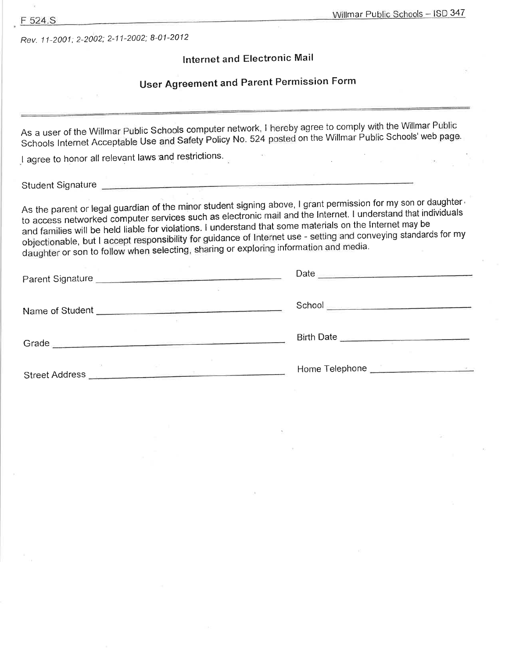Rev. 11-2001; 2-2002; 2-11-2002; 8-01-2012

### Internet and Electronic Mail

## User Agreement and Parent Permission Form

As a user of the Willmar Public Schools computer network, I hereby agree to comply with the Willmar Public Schools Internet Acceptable Use and Safety Policy No. 524 posted on the Willmar Public Schools' web page.

I agree to honor all relevant laws and restrictions.

Student Signature

As the parent or legal guardian of the minor student signing above, I grant permission for my son or daughter to access networked computer services such as electronic mail and the Internet. I understand that individuals and families will be held liable for violations. I understand that some materials on the Internet may be objectionable, but I accept responsibility for guidance of Internet use - setting and conveying standards for my daughter or son to follow when selecting, sharing or exploring information and media.

|                 | Date                                                                                                                                                                                                                                 |
|-----------------|--------------------------------------------------------------------------------------------------------------------------------------------------------------------------------------------------------------------------------------|
| Name of Student | School <b>Contract Contract Contract Contract Contract Contract Contract Contract Contract Contract Contract Contract Contract Contract Contract Contract Contract Contract Contract Contract Contract Contract Contract Contrac</b> |
| Grade           | Birth Date                                                                                                                                                                                                                           |
| Street Address  |                                                                                                                                                                                                                                      |